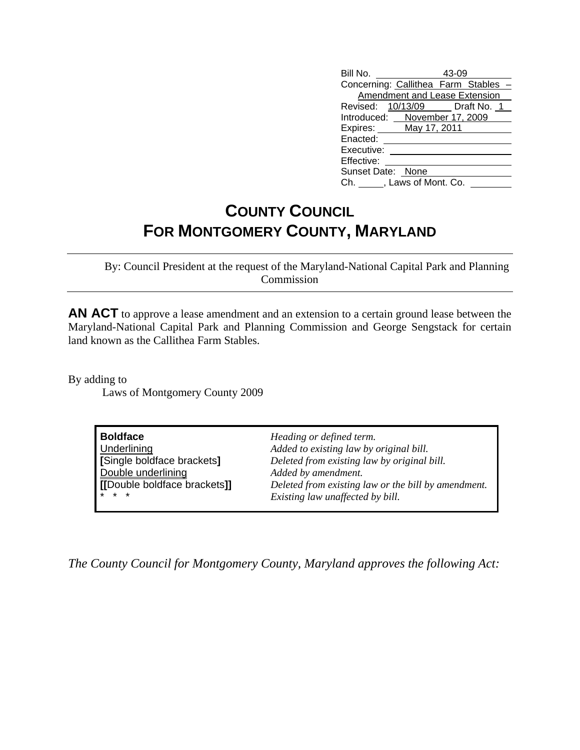| Bill No.                      | 43-09                              |  |
|-------------------------------|------------------------------------|--|
|                               | Concerning: Callithea Farm Stables |  |
| Amendment and Lease Extension |                                    |  |
|                               | Revised: 10/13/09 Draft No. 1      |  |
| Introduced: November 17, 2009 |                                    |  |
| Expires: May 17, 2011         |                                    |  |
| Enacted:                      |                                    |  |
| Executive:                    |                                    |  |
| Effective:                    |                                    |  |
| Sunset Date: None             |                                    |  |
| Ch. , Laws of Mont. Co.       |                                    |  |

## **COUNTY COUNCIL FOR MONTGOMERY COUNTY, MARYLAND**

 By: Council President at the request of the Maryland-National Capital Park and Planning Commission

**AN ACT** to approve a lease amendment and an extension to a certain ground lease between the Maryland-National Capital Park and Planning Commission and George Sengstack for certain land known as the Callithea Farm Stables.

By adding to Laws of Montgomery County 2009

| <b>Boldface</b>             | Heading or defined term.                            |
|-----------------------------|-----------------------------------------------------|
| Underlining                 | Added to existing law by original bill.             |
| [Single boldface brackets]  | Deleted from existing law by original bill.         |
| Double underlining          | Added by amendment.                                 |
| [Double boldface brackets]] | Deleted from existing law or the bill by amendment. |
| $*$ $*$ $*$                 | Existing law unaffected by bill.                    |

*The County Council for Montgomery County, Maryland approves the following Act:*